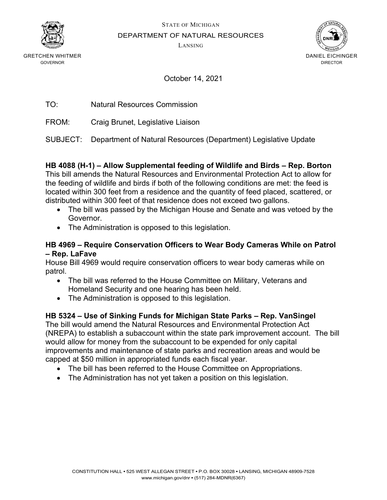

GRETCHEN WHITMER GOVERNOR

STATE OF MICHIGAN

DEPARTMENT OF NATURAL RESOURCES

LANSING



October 14, 2021

TO: Natural Resources Commission

FROM: Craig Brunet, Legislative Liaison

SUBJECT: Department of Natural Resources (Department) Legislative Update

## **HB 4088 (H-1) – Allow Supplemental feeding of Wildlife and Birds – Rep. Borton**

This bill amends the Natural Resources and Environmental Protection Act to allow for the feeding of wildlife and birds if both of the following conditions are met: the feed is located within 300 feet from a residence and the quantity of feed placed, scattered, or distributed within 300 feet of that residence does not exceed two gallons.

- The bill was passed by the Michigan House and Senate and was vetoed by the Governor.
- The Administration is opposed to this legislation.

### **HB 4969 – Require Conservation Officers to Wear Body Cameras While on Patrol – Rep. LaFave**

House Bill 4969 would require conservation officers to wear body cameras while on patrol.

- The bill was referred to the House Committee on Military, Veterans and Homeland Security and one hearing has been held.
- The Administration is opposed to this legislation.

# **HB 5324 – Use of Sinking Funds for Michigan State Parks – Rep. VanSingel**

The bill would amend the Natural Resources and Environmental Protection Act (NREPA) to establish a subaccount within the state park improvement account. The bill would allow for money from the subaccount to be expended for only capital improvements and maintenance of state parks and recreation areas and would be capped at \$50 million in appropriated funds each fiscal year.

- The bill has been referred to the House Committee on Appropriations.
- The Administration has not yet taken a position on this legislation.